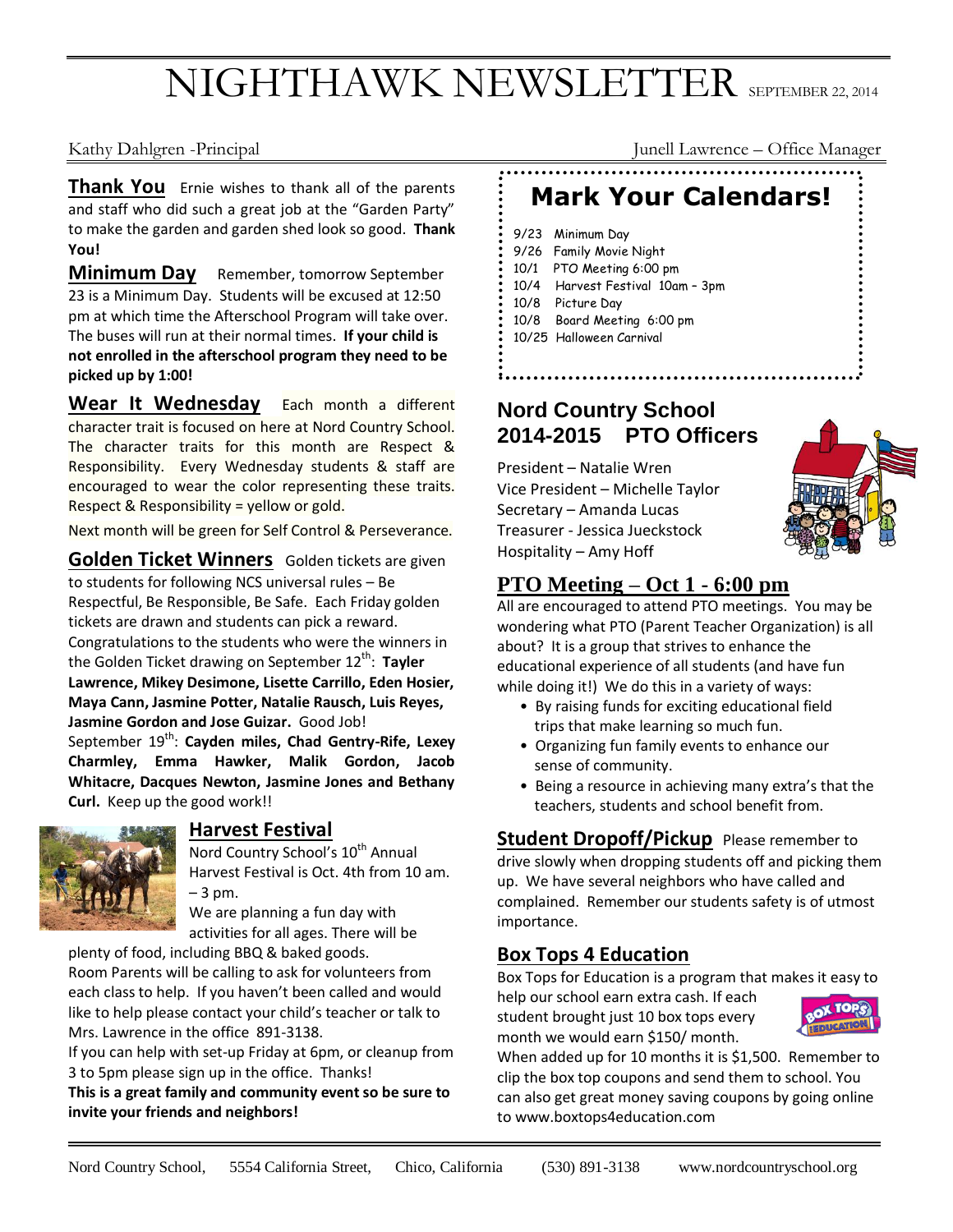# NIGHTHAWK NEWSLETTER SEPTEMBER 22, 2014

**Thank You** Ernie wishes to thank all of the parents and staff who did such a great job at the "Garden Party" to make the garden and garden shed look so good. **Thank You!**

**Minimum Day** Remember, tomorrow September 23 is a Minimum Day. Students will be excused at 12:50 pm at which time the Afterschool Program will take over. The buses will run at their normal times. **If your child is not enrolled in the afterschool program they need to be picked up by 1:00!**

**Wear It Wednesday** Each month a different character trait is focused on here at Nord Country School. The character traits for this month are Respect & Responsibility. Every Wednesday students & staff are encouraged to wear the color representing these traits. Respect & Responsibility = yellow or gold.

Next month will be green for Self Control & Perseverance.

**Golden Ticket Winners** Golden tickets are given to students for following NCS universal rules – Be Respectful, Be Responsible, Be Safe. Each Friday golden tickets are drawn and students can pick a reward. Congratulations to the students who were the winners in the Golden Ticket drawing on September 12<sup>th</sup>: Tayler **Lawrence, Mikey Desimone, Lisette Carrillo, Eden Hosier, Maya Cann, Jasmine Potter, Natalie Rausch, Luis Reyes, Jasmine Gordon and Jose Guizar.** Good Job! September 19th : **Cayden miles, Chad Gentry-Rife, Lexey Charmley, Emma Hawker, Malik Gordon, Jacob Whitacre, Dacques Newton, Jasmine Jones and Bethany Curl.** Keep up the good work!!



#### **Harvest Festival**

Nord Country School's 10<sup>th</sup> Annual Harvest Festival is Oct. 4th from 10 am.  $-3$  pm.

We are planning a fun day with activities for all ages. There will be

plenty of food, including BBQ & baked goods. Room Parents will be calling to ask for volunteers from each class to help. If you haven't been called and would like to help please contact your child's teacher or talk to Mrs. Lawrence in the office 891-3138.

If you can help with set-up Friday at 6pm, or cleanup from 3 to 5pm please sign up in the office. Thanks!

**This is a great family and community event so be sure to invite your friends and neighbors!**

Kathy Dahlgren -Principal Junell Lawrence – Office Manager

# **Mark Your Calendars!**

9/23 Minimum Day 9/26 Family Movie Night 10/1 PTO Meeting 6:00 pm 10/4 Harvest Festival 10am – 3pm 10/8 Picture Day 10/8 Board Meeting 6:00 pm 10/25 Halloween Carnival

## **Nord Country School 2014-2015 PTO Officers**

President – Natalie Wren Vice President – Michelle Taylor Secretary – Amanda Lucas Treasurer - Jessica Jueckstock Hospitality – Amy Hoff



## **PTO Meeting – Oct 1 - 6:00 pm**

All are encouraged to attend PTO meetings. You may be wondering what PTO (Parent Teacher Organization) is all about? It is a group that strives to enhance the educational experience of all students (and have fun while doing it!) We do this in a variety of ways:

- By raising funds for exciting educational field trips that make learning so much fun.
- Organizing fun family events to enhance our sense of community.
- Being a resource in achieving many extra's that the teachers, students and school benefit from.

**Student Dropoff/Pickup** Please remember to drive slowly when dropping students off and picking them up. We have several neighbors who have called and complained. Remember our students safety is of utmost importance.

### **Box Tops 4 Education**

Box Tops for Education is a program that makes it easy to

help our school earn extra cash. If each student brought just 10 box tops every month we would earn \$150/ month.



When added up for 10 months it is \$1,500. Remember to clip the box top coupons and send them to school. You can also get great money saving coupons by going online to www.boxtops4education.com